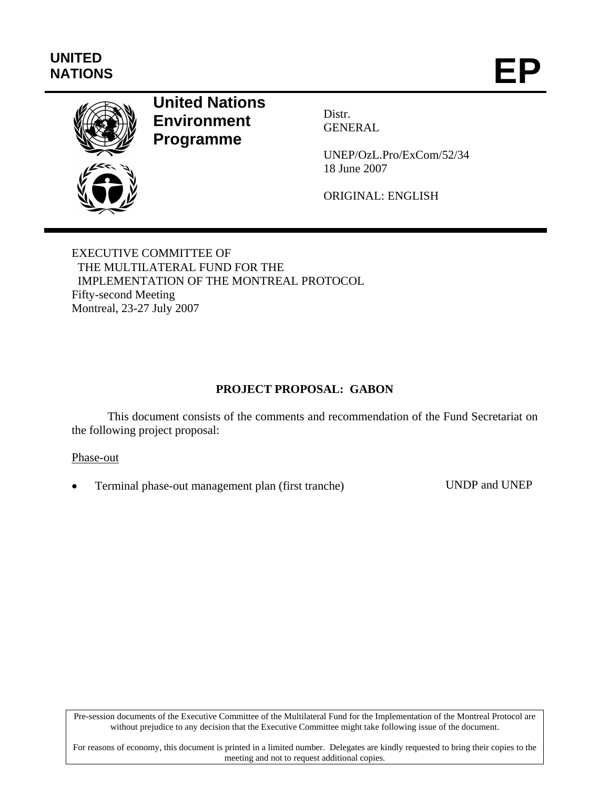# **UNITED**  UNITED<br>NATIONS **EP**



# **United Nations Environment Programme**

Distr. GENERAL

UNEP/OzL.Pro/ExCom/52/34 18 June 2007

ORIGINAL: ENGLISH

EXECUTIVE COMMITTEE OF THE MULTILATERAL FUND FOR THE IMPLEMENTATION OF THE MONTREAL PROTOCOL Fifty-second Meeting Montreal, 23-27 July 2007

## **PROJECT PROPOSAL: GABON**

This document consists of the comments and recommendation of the Fund Secretariat on the following project proposal:

Phase-out

• Terminal phase-out management plan (first tranche) UNDP and UNEP

Pre-session documents of the Executive Committee of the Multilateral Fund for the Implementation of the Montreal Protocol are without prejudice to any decision that the Executive Committee might take following issue of the document.

For reasons of economy, this document is printed in a limited number. Delegates are kindly requested to bring their copies to the meeting and not to request additional copies.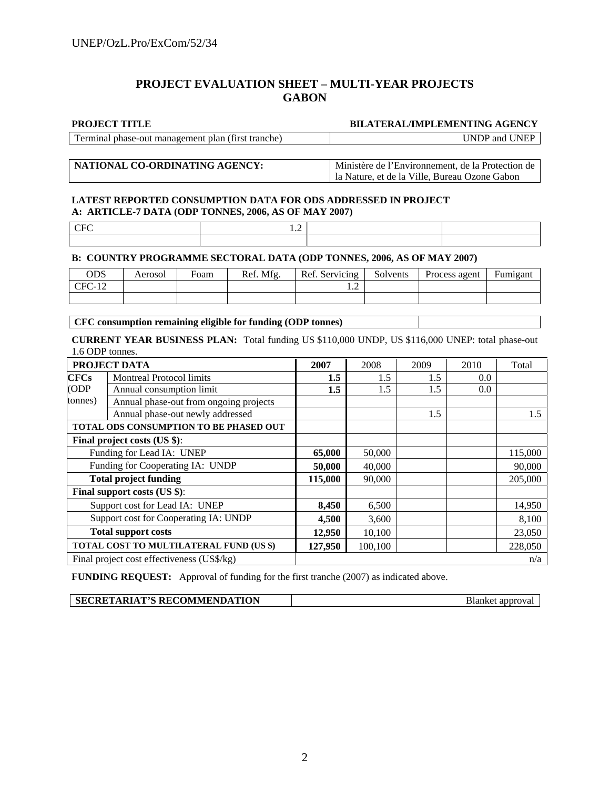#### **PROJECT EVALUATION SHEET – MULTI-YEAR PROJECTS GABON**

#### **PROJECT TITLE BILATERAL/IMPLEMENTING AGENCY**

Terminal phase-out management plan (first tranche) UNDP and UNEP

**NATIONAL CO-ORDINATING AGENCY:** Ministère de l'Environnement, de la Protection de la Nature, et de la Ville, Bureau Ozone Gabon

#### **LATEST REPORTED CONSUMPTION DATA FOR ODS ADDRESSED IN PROJECT A: ARTICLE-7 DATA (ODP TONNES, 2006, AS OF MAY 2007)**

| гO.<br>. . |  |
|------------|--|
|            |  |

 $CFC$  1.2

#### **B: COUNTRY PROGRAMME SECTORAL DATA (ODP TONNES, 2006, AS OF MAY 2007)**

| ODS      | Aerosol | Foam | Ref. Mfg. | Ref. Servicing | Solvents | Process agent | Fumigant |
|----------|---------|------|-----------|----------------|----------|---------------|----------|
| $CFC-12$ |         |      |           |                |          |               |          |
|          |         |      |           |                |          |               |          |

**CFC consumption remaining eligible for funding (ODP tonnes)** 

**CURRENT YEAR BUSINESS PLAN:** Total funding US \$110,000 UNDP, US \$116,000 UNEP: total phase-out 1.6 ODP tonnes.

| PROJECT DATA                           |                                            | 2007    | 2008    | 2009 | 2010 | Total   |
|----------------------------------------|--------------------------------------------|---------|---------|------|------|---------|
| <b>CFCs</b>                            | <b>Montreal Protocol limits</b>            | 1.5     | 1.5     | 1.5  | 0.0  |         |
| (ODP)<br>Annual consumption limit      |                                            | 1.5     | 1.5     | 1.5  | 0.0  |         |
| tonnes)                                | Annual phase-out from ongoing projects     |         |         |      |      |         |
| Annual phase-out newly addressed       |                                            |         |         | 1.5  |      | 1.5     |
| TOTAL ODS CONSUMPTION TO BE PHASED OUT |                                            |         |         |      |      |         |
| Final project costs (US \$):           |                                            |         |         |      |      |         |
| Funding for Lead IA: UNEP              |                                            | 65,000  | 50,000  |      |      | 115,000 |
| Funding for Cooperating IA: UNDP       |                                            | 50,000  | 40,000  |      |      | 90,000  |
| <b>Total project funding</b>           |                                            | 115,000 | 90,000  |      |      | 205,000 |
| Final support costs (US \$):           |                                            |         |         |      |      |         |
| Support cost for Lead IA: UNEP         |                                            | 8,450   | 6,500   |      |      | 14,950  |
| Support cost for Cooperating IA: UNDP  |                                            | 4,500   | 3,600   |      |      | 8,100   |
| <b>Total support costs</b>             |                                            | 12,950  | 10,100  |      |      | 23,050  |
|                                        | TOTAL COST TO MULTILATERAL FUND (US \$)    |         | 100,100 |      |      | 228,050 |
|                                        | Final project cost effectiveness (US\$/kg) |         |         |      |      | n/a     |

**FUNDING REQUEST:** Approval of funding for the first tranche (2007) as indicated above.

**SECRETARIAT'S RECOMMENDATION Blanket approval**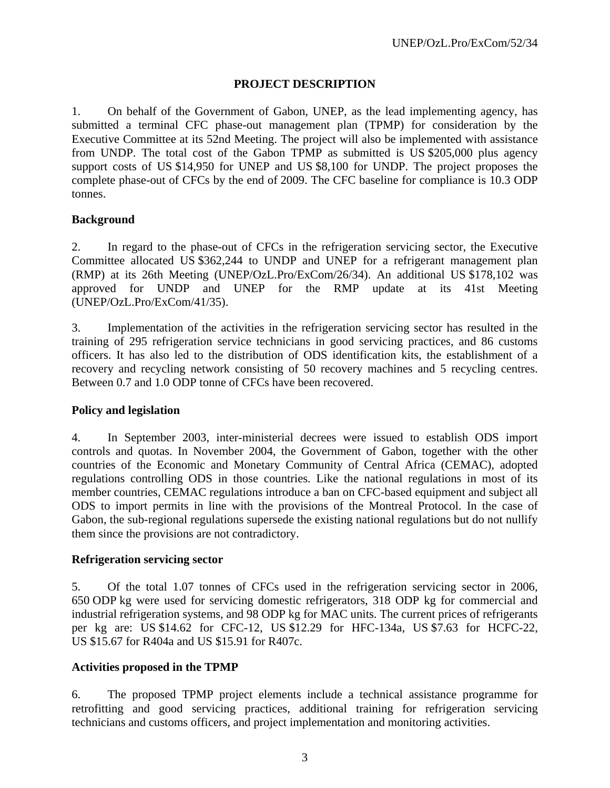#### **PROJECT DESCRIPTION**

1. On behalf of the Government of Gabon, UNEP, as the lead implementing agency, has submitted a terminal CFC phase-out management plan (TPMP) for consideration by the Executive Committee at its 52nd Meeting. The project will also be implemented with assistance from UNDP. The total cost of the Gabon TPMP as submitted is US \$205,000 plus agency support costs of US \$14,950 for UNEP and US \$8,100 for UNDP. The project proposes the complete phase-out of CFCs by the end of 2009. The CFC baseline for compliance is 10.3 ODP tonnes.

#### **Background**

2. In regard to the phase-out of CFCs in the refrigeration servicing sector, the Executive Committee allocated US \$362,244 to UNDP and UNEP for a refrigerant management plan (RMP) at its 26th Meeting (UNEP/OzL.Pro/ExCom/26/34). An additional US \$178,102 was approved for UNDP and UNEP for the RMP update at its 41st Meeting (UNEP/OzL.Pro/ExCom/41/35).

3. Implementation of the activities in the refrigeration servicing sector has resulted in the training of 295 refrigeration service technicians in good servicing practices, and 86 customs officers. It has also led to the distribution of ODS identification kits, the establishment of a recovery and recycling network consisting of 50 recovery machines and 5 recycling centres. Between 0.7 and 1.0 ODP tonne of CFCs have been recovered.

#### **Policy and legislation**

4. In September 2003, inter-ministerial decrees were issued to establish ODS import controls and quotas. In November 2004, the Government of Gabon, together with the other countries of the Economic and Monetary Community of Central Africa (CEMAC), adopted regulations controlling ODS in those countries. Like the national regulations in most of its member countries, CEMAC regulations introduce a ban on CFC-based equipment and subject all ODS to import permits in line with the provisions of the Montreal Protocol. In the case of Gabon, the sub-regional regulations supersede the existing national regulations but do not nullify them since the provisions are not contradictory.

#### **Refrigeration servicing sector**

5. Of the total 1.07 tonnes of CFCs used in the refrigeration servicing sector in 2006, 650 ODP kg were used for servicing domestic refrigerators, 318 ODP kg for commercial and industrial refrigeration systems, and 98 ODP kg for MAC units. The current prices of refrigerants per kg are: US \$14.62 for CFC-12, US \$12.29 for HFC-134a, US \$7.63 for HCFC-22, US \$15.67 for R404a and US \$15.91 for R407c.

## **Activities proposed in the TPMP**

6. The proposed TPMP project elements include a technical assistance programme for retrofitting and good servicing practices, additional training for refrigeration servicing technicians and customs officers, and project implementation and monitoring activities.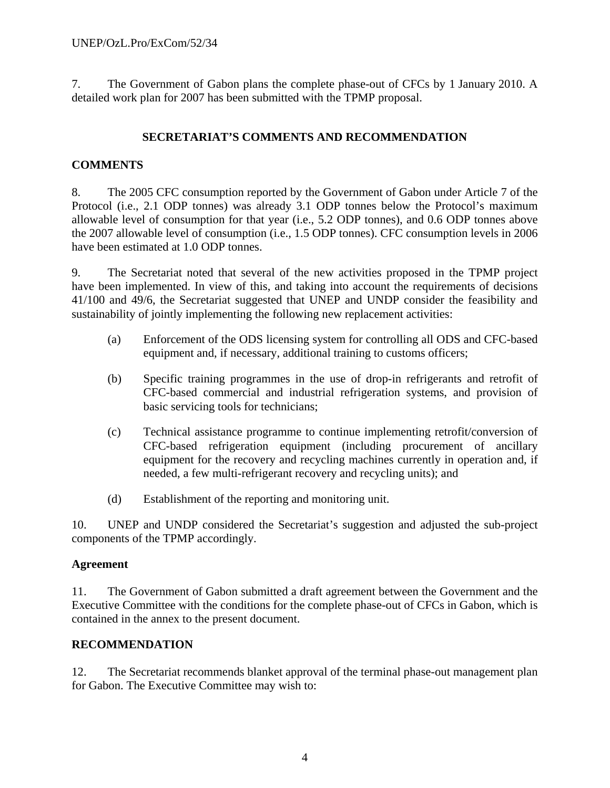7. The Government of Gabon plans the complete phase-out of CFCs by 1 January 2010. A detailed work plan for 2007 has been submitted with the TPMP proposal.

## **SECRETARIAT'S COMMENTS AND RECOMMENDATION**

## **COMMENTS**

8. The 2005 CFC consumption reported by the Government of Gabon under Article 7 of the Protocol (i.e., 2.1 ODP tonnes) was already 3.1 ODP tonnes below the Protocol's maximum allowable level of consumption for that year (i.e., 5.2 ODP tonnes), and 0.6 ODP tonnes above the 2007 allowable level of consumption (i.e., 1.5 ODP tonnes). CFC consumption levels in 2006 have been estimated at 1.0 ODP tonnes.

9. The Secretariat noted that several of the new activities proposed in the TPMP project have been implemented. In view of this, and taking into account the requirements of decisions 41/100 and 49/6, the Secretariat suggested that UNEP and UNDP consider the feasibility and sustainability of jointly implementing the following new replacement activities:

- (a) Enforcement of the ODS licensing system for controlling all ODS and CFC-based equipment and, if necessary, additional training to customs officers;
- (b) Specific training programmes in the use of drop-in refrigerants and retrofit of CFC-based commercial and industrial refrigeration systems, and provision of basic servicing tools for technicians;
- (c) Technical assistance programme to continue implementing retrofit/conversion of CFC-based refrigeration equipment (including procurement of ancillary equipment for the recovery and recycling machines currently in operation and, if needed, a few multi-refrigerant recovery and recycling units); and
- (d) Establishment of the reporting and monitoring unit.

10. UNEP and UNDP considered the Secretariat's suggestion and adjusted the sub-project components of the TPMP accordingly.

## **Agreement**

11. The Government of Gabon submitted a draft agreement between the Government and the Executive Committee with the conditions for the complete phase-out of CFCs in Gabon, which is contained in the annex to the present document.

## **RECOMMENDATION**

12. The Secretariat recommends blanket approval of the terminal phase-out management plan for Gabon. The Executive Committee may wish to: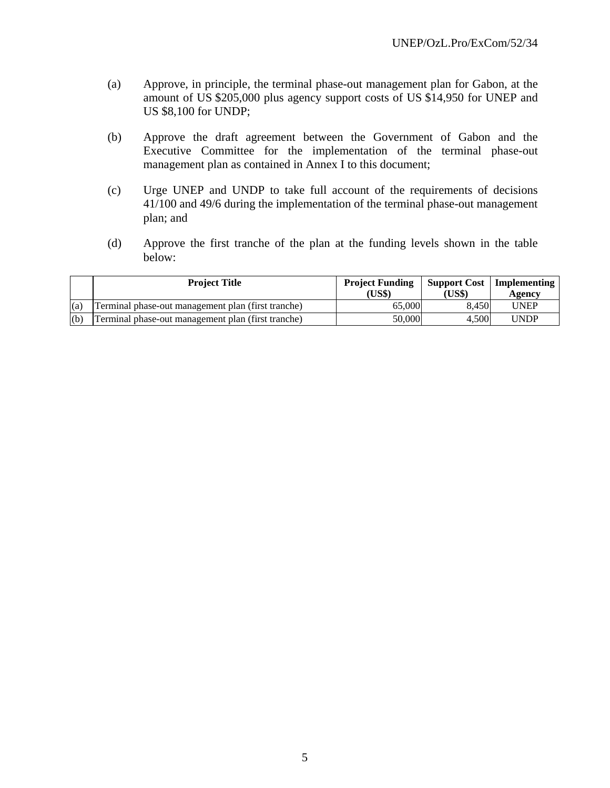- (a) Approve, in principle, the terminal phase-out management plan for Gabon, at the amount of US \$205,000 plus agency support costs of US \$14,950 for UNEP and US \$8,100 for UNDP;
- (b) Approve the draft agreement between the Government of Gabon and the Executive Committee for the implementation of the terminal phase-out management plan as contained in Annex I to this document;
- (c) Urge UNEP and UNDP to take full account of the requirements of decisions 41/100 and 49/6 during the implementation of the terminal phase-out management plan; and
- (d) Approve the first tranche of the plan at the funding levels shown in the table below:

|     | <b>Project Title</b>                               | <b>Project Funding</b><br>(US\$) | (US\$) | <b>Support Cost</b>   Implementing<br>Agency |
|-----|----------------------------------------------------|----------------------------------|--------|----------------------------------------------|
| (a) | Terminal phase-out management plan (first tranche) | 65,000                           | 8.450  | <b>UNEP</b>                                  |
| (b) | Terminal phase-out management plan (first tranche) | 50,000                           | 4.500  | UNDP                                         |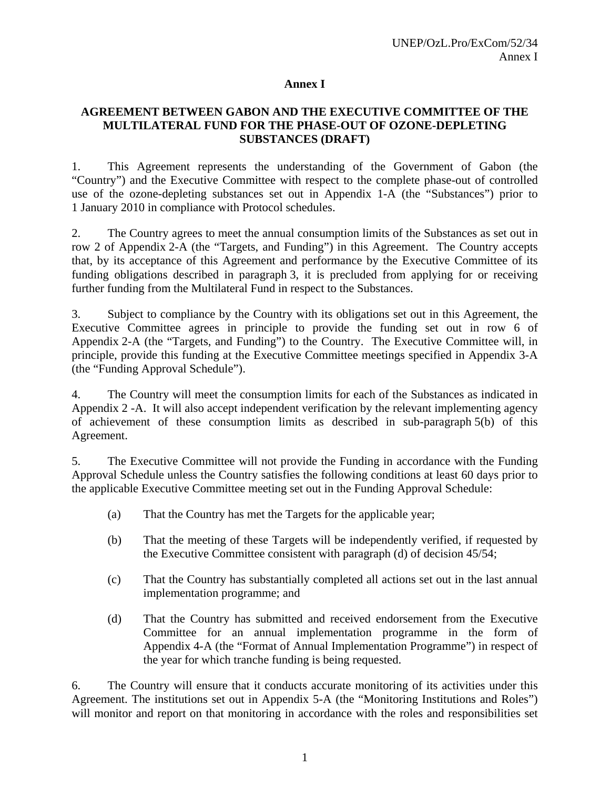#### **Annex I**

#### **AGREEMENT BETWEEN GABON AND THE EXECUTIVE COMMITTEE OF THE MULTILATERAL FUND FOR THE PHASE-OUT OF OZONE-DEPLETING SUBSTANCES (DRAFT)**

1. This Agreement represents the understanding of the Government of Gabon (the "Country") and the Executive Committee with respect to the complete phase-out of controlled use of the ozone-depleting substances set out in Appendix 1-A (the "Substances") prior to 1 January 2010 in compliance with Protocol schedules.

2. The Country agrees to meet the annual consumption limits of the Substances as set out in row 2 of Appendix 2-A (the "Targets, and Funding") in this Agreement. The Country accepts that, by its acceptance of this Agreement and performance by the Executive Committee of its funding obligations described in paragraph 3, it is precluded from applying for or receiving further funding from the Multilateral Fund in respect to the Substances.

3. Subject to compliance by the Country with its obligations set out in this Agreement, the Executive Committee agrees in principle to provide the funding set out in row 6 of Appendix 2-A (the "Targets, and Funding") to the Country. The Executive Committee will, in principle, provide this funding at the Executive Committee meetings specified in Appendix 3-A (the "Funding Approval Schedule").

4. The Country will meet the consumption limits for each of the Substances as indicated in Appendix 2 -A. It will also accept independent verification by the relevant implementing agency of achievement of these consumption limits as described in sub-paragraph 5(b) of this Agreement.

5. The Executive Committee will not provide the Funding in accordance with the Funding Approval Schedule unless the Country satisfies the following conditions at least 60 days prior to the applicable Executive Committee meeting set out in the Funding Approval Schedule:

- (a) That the Country has met the Targets for the applicable year;
- (b) That the meeting of these Targets will be independently verified, if requested by the Executive Committee consistent with paragraph (d) of decision 45/54;
- (c) That the Country has substantially completed all actions set out in the last annual implementation programme; and
- (d) That the Country has submitted and received endorsement from the Executive Committee for an annual implementation programme in the form of Appendix 4-A (the "Format of Annual Implementation Programme") in respect of the year for which tranche funding is being requested.

6. The Country will ensure that it conducts accurate monitoring of its activities under this Agreement. The institutions set out in Appendix 5-A (the "Monitoring Institutions and Roles") will monitor and report on that monitoring in accordance with the roles and responsibilities set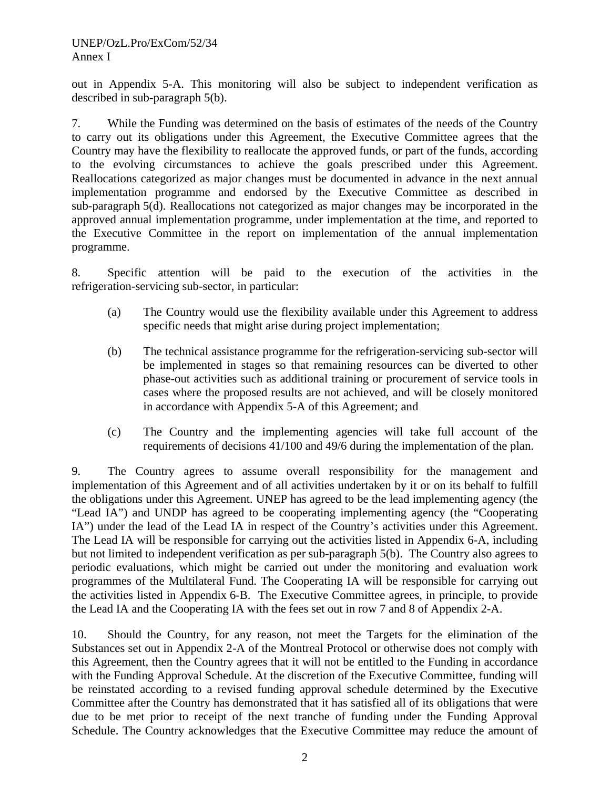out in Appendix 5-A. This monitoring will also be subject to independent verification as described in sub-paragraph 5(b).

7. While the Funding was determined on the basis of estimates of the needs of the Country to carry out its obligations under this Agreement, the Executive Committee agrees that the Country may have the flexibility to reallocate the approved funds, or part of the funds, according to the evolving circumstances to achieve the goals prescribed under this Agreement. Reallocations categorized as major changes must be documented in advance in the next annual implementation programme and endorsed by the Executive Committee as described in sub-paragraph 5(d). Reallocations not categorized as major changes may be incorporated in the approved annual implementation programme, under implementation at the time, and reported to the Executive Committee in the report on implementation of the annual implementation programme.

8. Specific attention will be paid to the execution of the activities in the refrigeration-servicing sub-sector, in particular:

- (a) The Country would use the flexibility available under this Agreement to address specific needs that might arise during project implementation;
- (b) The technical assistance programme for the refrigeration-servicing sub-sector will be implemented in stages so that remaining resources can be diverted to other phase-out activities such as additional training or procurement of service tools in cases where the proposed results are not achieved, and will be closely monitored in accordance with Appendix 5-A of this Agreement; and
- (c) The Country and the implementing agencies will take full account of the requirements of decisions 41/100 and 49/6 during the implementation of the plan.

9. The Country agrees to assume overall responsibility for the management and implementation of this Agreement and of all activities undertaken by it or on its behalf to fulfill the obligations under this Agreement. UNEP has agreed to be the lead implementing agency (the "Lead IA") and UNDP has agreed to be cooperating implementing agency (the "Cooperating IA") under the lead of the Lead IA in respect of the Country's activities under this Agreement. The Lead IA will be responsible for carrying out the activities listed in Appendix 6-A, including but not limited to independent verification as per sub-paragraph 5(b). The Country also agrees to periodic evaluations, which might be carried out under the monitoring and evaluation work programmes of the Multilateral Fund. The Cooperating IA will be responsible for carrying out the activities listed in Appendix 6-B. The Executive Committee agrees, in principle, to provide the Lead IA and the Cooperating IA with the fees set out in row 7 and 8 of Appendix 2-A.

10. Should the Country, for any reason, not meet the Targets for the elimination of the Substances set out in Appendix 2-A of the Montreal Protocol or otherwise does not comply with this Agreement, then the Country agrees that it will not be entitled to the Funding in accordance with the Funding Approval Schedule. At the discretion of the Executive Committee, funding will be reinstated according to a revised funding approval schedule determined by the Executive Committee after the Country has demonstrated that it has satisfied all of its obligations that were due to be met prior to receipt of the next tranche of funding under the Funding Approval Schedule. The Country acknowledges that the Executive Committee may reduce the amount of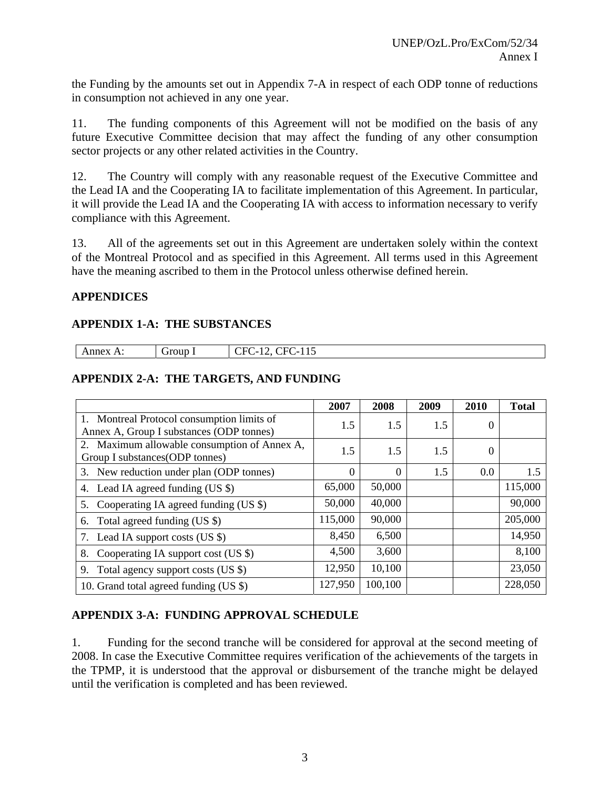the Funding by the amounts set out in Appendix 7-A in respect of each ODP tonne of reductions in consumption not achieved in any one year.

11. The funding components of this Agreement will not be modified on the basis of any future Executive Committee decision that may affect the funding of any other consumption sector projects or any other related activities in the Country.

12. The Country will comply with any reasonable request of the Executive Committee and the Lead IA and the Cooperating IA to facilitate implementation of this Agreement. In particular, it will provide the Lead IA and the Cooperating IA with access to information necessary to verify compliance with this Agreement.

13. All of the agreements set out in this Agreement are undertaken solely within the context of the Montreal Protocol and as specified in this Agreement. All terms used in this Agreement have the meaning ascribed to them in the Protocol unless otherwise defined herein.

## **APPENDICES**

## **APPENDIX 1-A: THE SUBSTANCES**

| .<br>⊣<br>. .<br>-<br>ne<br>-<br>∸<br>ັ<br>--<br>______<br>the contract of the contract of the contract of the contract of the contract of the contract of the contract of<br>$\sim$ |
|--------------------------------------------------------------------------------------------------------------------------------------------------------------------------------------|
|--------------------------------------------------------------------------------------------------------------------------------------------------------------------------------------|

## **APPENDIX 2-A: THE TARGETS, AND FUNDING**

|                                                                                        | 2007     | 2008     | 2009 | 2010     | <b>Total</b> |
|----------------------------------------------------------------------------------------|----------|----------|------|----------|--------------|
| 1. Montreal Protocol consumption limits of<br>Annex A, Group I substances (ODP tonnes) | 1.5      | 1.5      | 1.5  | 0        |              |
| 2. Maximum allowable consumption of Annex A,<br>Group I substances (ODP tonnes)        | 1.5      | 1.5      | 1.5  | $\Omega$ |              |
| 3. New reduction under plan (ODP tonnes)                                               | $\Omega$ | $\Omega$ | 1.5  | 0.0      | 1.5          |
| 4. Lead IA agreed funding (US \$)                                                      | 65,000   | 50,000   |      |          | 115,000      |
| 5. Cooperating IA agreed funding (US \$)                                               | 50,000   | 40,000   |      |          | 90,000       |
| Total agreed funding (US \$)<br>6.                                                     | 115,000  | 90,000   |      |          | 205,000      |
| Lead IA support costs (US \$)<br>7.                                                    | 8,450    | 6,500    |      |          | 14,950       |
| Cooperating IA support cost (US \$)<br>8.                                              | 4,500    | 3,600    |      |          | 8,100        |
| Total agency support costs (US \$)<br>9.                                               | 12,950   | 10,100   |      |          | 23,050       |
| 10. Grand total agreed funding (US \$)                                                 | 127,950  | 100,100  |      |          | 228,050      |

## **APPENDIX 3-A: FUNDING APPROVAL SCHEDULE**

1. Funding for the second tranche will be considered for approval at the second meeting of 2008. In case the Executive Committee requires verification of the achievements of the targets in the TPMP, it is understood that the approval or disbursement of the tranche might be delayed until the verification is completed and has been reviewed.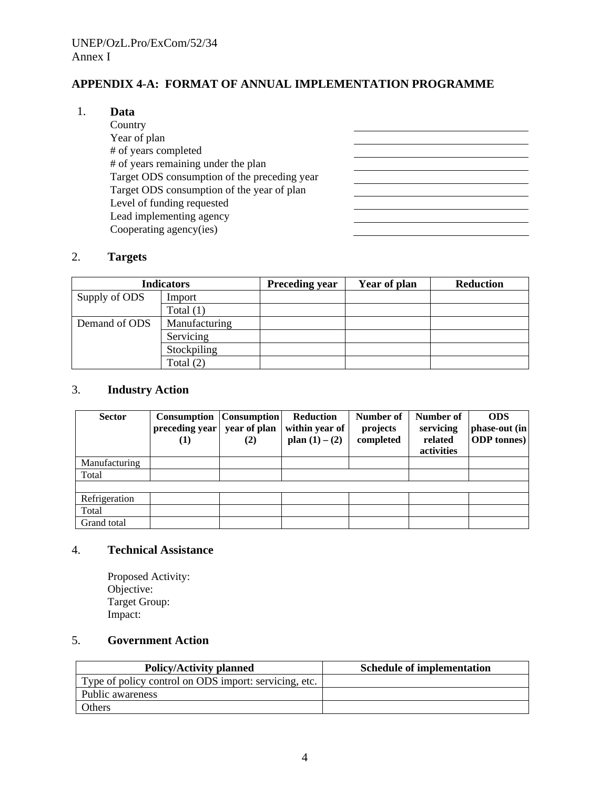## **APPENDIX 4-A: FORMAT OF ANNUAL IMPLEMENTATION PROGRAMME**

#### 1. **Data**

| Country                                      |  |
|----------------------------------------------|--|
| Year of plan                                 |  |
| # of years completed                         |  |
| # of years remaining under the plan          |  |
| Target ODS consumption of the preceding year |  |
| Target ODS consumption of the year of plan   |  |
| Level of funding requested                   |  |
| Lead implementing agency                     |  |
| Cooperating agency(ies)                      |  |

#### 2. **Targets**

|               | <b>Indicators</b> | <b>Preceding year</b> | Year of plan | <b>Reduction</b> |
|---------------|-------------------|-----------------------|--------------|------------------|
| Supply of ODS | Import            |                       |              |                  |
|               | Total $(1)$       |                       |              |                  |
| Demand of ODS | Manufacturing     |                       |              |                  |
|               | Servicing         |                       |              |                  |
|               | Stockpiling       |                       |              |                  |
|               | Total $(2)$       |                       |              |                  |

## 3. **Industry Action**

| <b>Sector</b> | Consumption<br>preceding year<br>(1) | <b>Consumption</b><br>year of plan<br>(2) | <b>Reduction</b><br>within year of<br>plan $(1) - (2)$ | Number of<br>projects<br>completed | Number of<br>servicing<br>related<br>activities | <b>ODS</b><br>phase-out (in<br><b>ODP</b> tonnes) |
|---------------|--------------------------------------|-------------------------------------------|--------------------------------------------------------|------------------------------------|-------------------------------------------------|---------------------------------------------------|
| Manufacturing |                                      |                                           |                                                        |                                    |                                                 |                                                   |
| Total         |                                      |                                           |                                                        |                                    |                                                 |                                                   |
|               |                                      |                                           |                                                        |                                    |                                                 |                                                   |
| Refrigeration |                                      |                                           |                                                        |                                    |                                                 |                                                   |
| Total         |                                      |                                           |                                                        |                                    |                                                 |                                                   |
| Grand total   |                                      |                                           |                                                        |                                    |                                                 |                                                   |

#### 4. **Technical Assistance**

Proposed Activity: Objective: Target Group: Impact:

## 5. **Government Action**

| <b>Policy/Activity planned</b>                        | <b>Schedule of implementation</b> |
|-------------------------------------------------------|-----------------------------------|
| Type of policy control on ODS import: servicing, etc. |                                   |
| Public awareness                                      |                                   |
| Others                                                |                                   |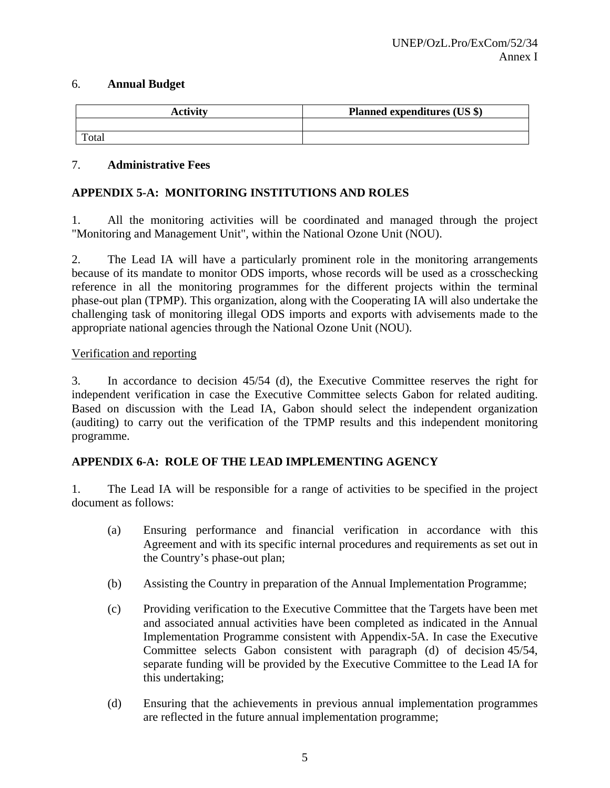#### 6. **Annual Budget**

| <b>Activity</b> | Planned expenditures (US \$) |
|-----------------|------------------------------|
|                 |                              |
| Total           |                              |

#### 7. **Administrative Fees**

#### **APPENDIX 5-A: MONITORING INSTITUTIONS AND ROLES**

1. All the monitoring activities will be coordinated and managed through the project "Monitoring and Management Unit", within the National Ozone Unit (NOU).

2. The Lead IA will have a particularly prominent role in the monitoring arrangements because of its mandate to monitor ODS imports, whose records will be used as a crosschecking reference in all the monitoring programmes for the different projects within the terminal phase-out plan (TPMP). This organization, along with the Cooperating IA will also undertake the challenging task of monitoring illegal ODS imports and exports with advisements made to the appropriate national agencies through the National Ozone Unit (NOU).

#### Verification and reporting

3. In accordance to decision 45/54 (d), the Executive Committee reserves the right for independent verification in case the Executive Committee selects Gabon for related auditing. Based on discussion with the Lead IA, Gabon should select the independent organization (auditing) to carry out the verification of the TPMP results and this independent monitoring programme.

#### **APPENDIX 6-A: ROLE OF THE LEAD IMPLEMENTING AGENCY**

1. The Lead IA will be responsible for a range of activities to be specified in the project document as follows:

- (a) Ensuring performance and financial verification in accordance with this Agreement and with its specific internal procedures and requirements as set out in the Country's phase-out plan;
- (b) Assisting the Country in preparation of the Annual Implementation Programme;
- (c) Providing verification to the Executive Committee that the Targets have been met and associated annual activities have been completed as indicated in the Annual Implementation Programme consistent with Appendix-5A. In case the Executive Committee selects Gabon consistent with paragraph (d) of decision 45/54, separate funding will be provided by the Executive Committee to the Lead IA for this undertaking;
- (d) Ensuring that the achievements in previous annual implementation programmes are reflected in the future annual implementation programme;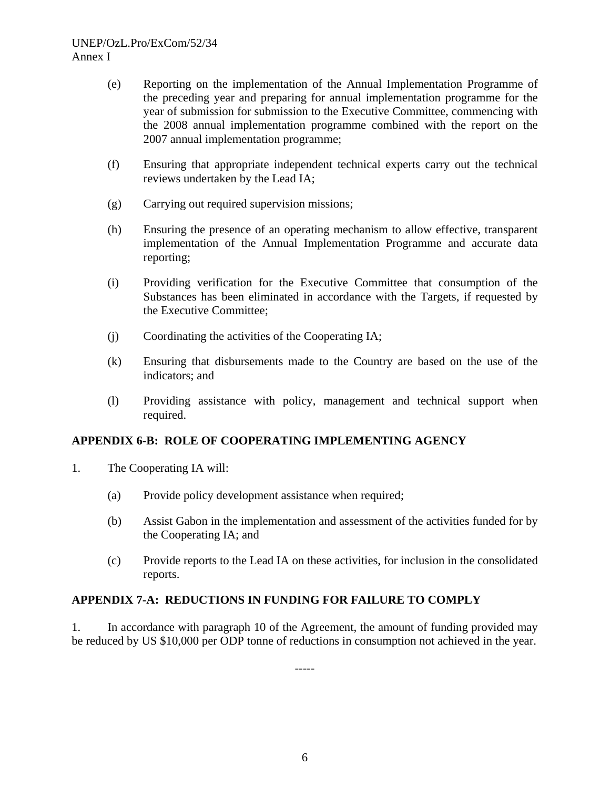- (e) Reporting on the implementation of the Annual Implementation Programme of the preceding year and preparing for annual implementation programme for the year of submission for submission to the Executive Committee, commencing with the 2008 annual implementation programme combined with the report on the 2007 annual implementation programme;
- (f) Ensuring that appropriate independent technical experts carry out the technical reviews undertaken by the Lead IA;
- (g) Carrying out required supervision missions;
- (h) Ensuring the presence of an operating mechanism to allow effective, transparent implementation of the Annual Implementation Programme and accurate data reporting;
- (i) Providing verification for the Executive Committee that consumption of the Substances has been eliminated in accordance with the Targets, if requested by the Executive Committee;
- (j) Coordinating the activities of the Cooperating IA;
- (k) Ensuring that disbursements made to the Country are based on the use of the indicators; and
- (l) Providing assistance with policy, management and technical support when required.

## **APPENDIX 6-B: ROLE OF COOPERATING IMPLEMENTING AGENCY**

- 1. The Cooperating IA will:
	- (a) Provide policy development assistance when required;
	- (b) Assist Gabon in the implementation and assessment of the activities funded for by the Cooperating IA; and
	- (c) Provide reports to the Lead IA on these activities, for inclusion in the consolidated reports.

## **APPENDIX 7-A: REDUCTIONS IN FUNDING FOR FAILURE TO COMPLY**

1. In accordance with paragraph 10 of the Agreement, the amount of funding provided may be reduced by US \$10,000 per ODP tonne of reductions in consumption not achieved in the year.

-----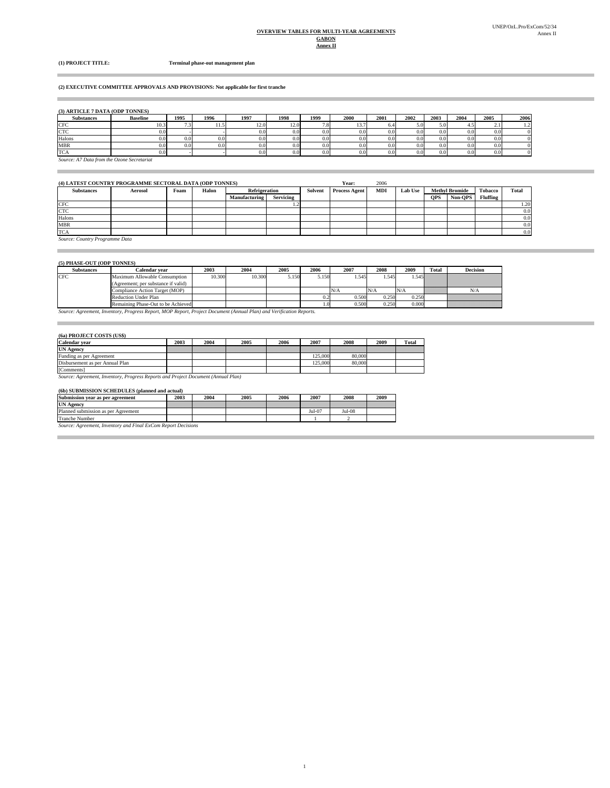#### **Annex II GABON OVERVIEW TABLES FOR MULTI-YEAR AGREEMENTS**

**COL** 

 $\overline{\phantom{a}}$ 

**(1) PROJECT TITLE: Terminal phase-out management plan**

#### **(2) EXECUTIVE COMMITTEE APPROVALS AND PROVISIONS: Not applicable for first tranche**

| <b>Substances</b>                          | <b>Baseline</b> | 1995 | 1996 | 1997 | 1998             | 1999     | 2000 | 2001 | 2002             | 2003 | 2004 | 2005             | 2006       |
|--------------------------------------------|-----------------|------|------|------|------------------|----------|------|------|------------------|------|------|------------------|------------|
| <b>CFC</b>                                 | 10.3            |      | .    | 12.0 | 12.0             | 7.8      |      | 6.4  | 5.01             | 5.0  |      | 2.1              |            |
| <b>CTC</b>                                 | 0.0             |      |      | 0.0  | 0.0              | 0.0      | 0.0  | 0.0  | 0.0 <sub>l</sub> | 0.0  | 0.0  | 0.0 <sub>1</sub> | 0.         |
| Halons                                     | 0.0             | 0.0  | 0.0  | 0.0  | 0.0              | 0.0      | 0.0  | 0.0  | 0.01             | 0.0  | 0.0  | 0.0 <sub>1</sub> | 0.         |
| <b>MBR</b>                                 | 0.0             | 0.0  | 0.0  | 0.0  | 0.0 <sub>l</sub> | $_{0.0}$ | 0.0  | 0.0  | 0.0 <sub>l</sub> | 0.0  | 0.0  | 0.0 <sub>1</sub> | $^{\circ}$ |
| <b>TCA</b>                                 | 0.0             |      |      | 0.0  | 0.0              | 0.0      | 0.0  | 0.0  | 0.0              | 0.0  |      | 0.0              | 0.         |
| Source: A7 Data from the Ozone Secretariat |                 |      |      |      |                  |          |      |      |                  |      |      |                  |            |

#### **(4) LATEST COUNTRY PROGRAMME SECTORAL DATA (ODP TONNES) Year:** 2006

| .                        |         |      |       |                      |           |         | ------               | ------     |                |            |                       |                 |              |
|--------------------------|---------|------|-------|----------------------|-----------|---------|----------------------|------------|----------------|------------|-----------------------|-----------------|--------------|
| <b>Substances</b>        | Aerosol | Foam | Halon | <b>Refrigeration</b> |           | Solvent | <b>Process Agent</b> | <b>MDI</b> | <b>Lab Use</b> |            | <b>Methyl Bromide</b> | <b>Tobacco</b>  | <b>Total</b> |
|                          |         |      |       | Manufacturing        | Servicing |         |                      |            |                | <b>OPS</b> | Non-OPS               | <b>Fluffing</b> |              |
| <b>CFC</b>               |         |      |       |                      |           |         |                      |            |                |            |                       |                 | 1.20         |
| <b>CTC</b>               |         |      |       |                      |           |         |                      |            |                |            |                       |                 | 0.0          |
| Halons                   |         |      |       |                      |           |         |                      |            |                |            |                       |                 | 0.0          |
| <b>MBR</b>               |         |      |       |                      |           |         |                      |            |                |            |                       |                 | 0.0          |
| <b>TCA</b>               |         |      |       |                      |           |         |                      |            |                |            |                       |                 | 0.0          |
| the property of the con- |         |      |       |                      |           |         |                      |            |                |            |                       |                 |              |

*Source: Country Programme Data*

**Contract Contract** 

 $\sim$ 

#### **(5) PHASE-OUT (ODP TONNES)**

| <b>Substances</b>                                                                                                   | Calendar vear                       | 2003   | 2004   | 2005  | 2006  | 2007  | 2008  | 2009  | Total       | <b>Decision</b>                                             |
|---------------------------------------------------------------------------------------------------------------------|-------------------------------------|--------|--------|-------|-------|-------|-------|-------|-------------|-------------------------------------------------------------|
| <b>CFC</b>                                                                                                          | Maximum Allowable Consumption       | 10.300 | 10.300 | 5.150 | 5.150 | .545  | 1.545 |       |             |                                                             |
|                                                                                                                     | (Agreement: per substance if valid) |        |        |       |       |       |       |       |             |                                                             |
|                                                                                                                     | Compliance Action Target (MOP)      |        |        |       |       | N/A   |       | N/A   | a an an Aon | N/A                                                         |
|                                                                                                                     | Reduction Under Plan                |        |        |       |       | 0.500 | 0.250 | 0.250 |             |                                                             |
|                                                                                                                     | Remaining Phase-Out to be Achieved  |        |        |       |       | 0.500 | 0.250 | 0.000 |             | ,,,,,,,,,,,,,,,,,,,,,,,,,,,,<br><br>raaaaaaaaaaaaaaaaaaaaaa |
| Source: Agreement, Inventory, Progress Report, MOP Report, Project Document (Annual Plan) and Verification Reports. |                                     |        |        |       |       |       |       |       |             |                                                             |

#### **(6a) PROJECT COSTS (US\$)**

| <b>Calendar</b> vear                                                              | 2003 | 2004 | 2005 | 2006 | 2007    | 2008   | 2009 | Total |  |  |  |
|-----------------------------------------------------------------------------------|------|------|------|------|---------|--------|------|-------|--|--|--|
| <b>UN Agency</b>                                                                  |      |      |      |      |         |        |      |       |  |  |  |
| Funding as per Agreement                                                          |      |      |      |      | 125,000 | 80,000 |      |       |  |  |  |
| Disbursement as per Annual Plan                                                   |      |      |      |      | 125,000 | 80,000 |      |       |  |  |  |
| [Comments]                                                                        |      |      |      |      |         |        |      |       |  |  |  |
| Source: Agreement, Inventory, Progress Reports and Project Document (Annual Plan) |      |      |      |      |         |        |      |       |  |  |  |

#### **(6b) SUBMISSION SCHEDULES (planned and actual)**

| Submission year as per agreement                              | 2003 | 2004 | 2005 | 2006 | 2007             | 2008   | 2009 |  |  |
|---------------------------------------------------------------|------|------|------|------|------------------|--------|------|--|--|
| <b>UN Agency</b>                                              |      |      |      |      |                  |        |      |  |  |
| Planned submission as per Agreement                           |      |      |      |      | $_{\rm{Jul-}07}$ | Jul-08 |      |  |  |
| <b>Tranche Number</b>                                         |      |      |      |      |                  |        |      |  |  |
| Source: Agreement, Inventory and Final ExCom Report Decisions |      |      |      |      |                  |        |      |  |  |

*<i>S* Final Excom Report of the Inventory and Final ExCom Reporting Decisions